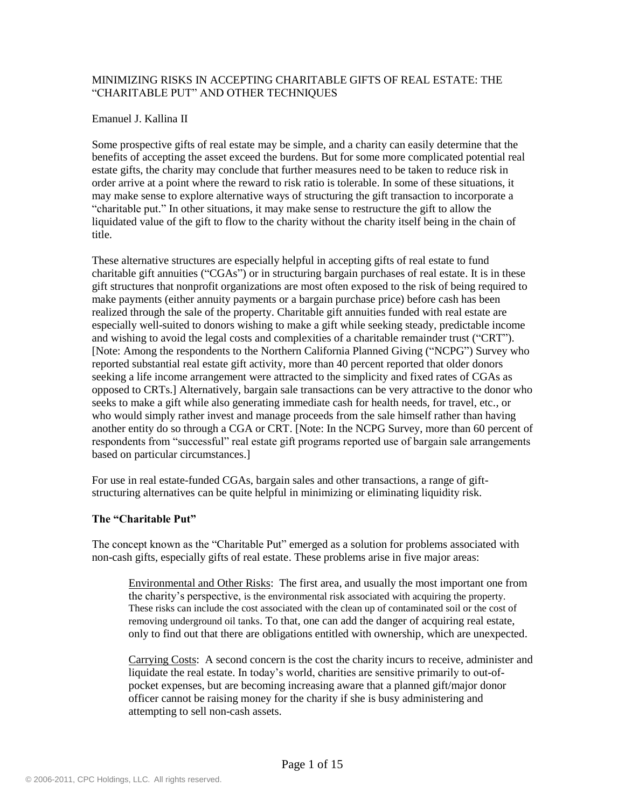## MINIMIZING RISKS IN ACCEPTING CHARITABLE GIFTS OF REAL ESTATE: THE "CHARITABLE PUT" AND OTHER TECHNIQUES

### Emanuel J. Kallina II

Some prospective gifts of real estate may be simple, and a charity can easily determine that the benefits of accepting the asset exceed the burdens. But for some more complicated potential real estate gifts, the charity may conclude that further measures need to be taken to reduce risk in order arrive at a point where the reward to risk ratio is tolerable. In some of these situations, it may make sense to explore alternative ways of structuring the gift transaction to incorporate a "charitable put." In other situations, it may make sense to restructure the gift to allow the liquidated value of the gift to flow to the charity without the charity itself being in the chain of title.

These alternative structures are especially helpful in accepting gifts of real estate to fund charitable gift annuities ("CGAs") or in structuring bargain purchases of real estate. It is in these gift structures that nonprofit organizations are most often exposed to the risk of being required to make payments (either annuity payments or a bargain purchase price) before cash has been realized through the sale of the property. Charitable gift annuities funded with real estate are especially well-suited to donors wishing to make a gift while seeking steady, predictable income and wishing to avoid the legal costs and complexities of a charitable remainder trust ("CRT"). [Note: Among the respondents to the Northern California Planned Giving ("NCPG") Survey who reported substantial real estate gift activity, more than 40 percent reported that older donors seeking a life income arrangement were attracted to the simplicity and fixed rates of CGAs as opposed to CRTs.] Alternatively, bargain sale transactions can be very attractive to the donor who seeks to make a gift while also generating immediate cash for health needs, for travel, etc., or who would simply rather invest and manage proceeds from the sale himself rather than having another entity do so through a CGA or CRT. [Note: In the NCPG Survey, more than 60 percent of respondents from "successful" real estate gift programs reported use of bargain sale arrangements based on particular circumstances.]

For use in real estate-funded CGAs, bargain sales and other transactions, a range of giftstructuring alternatives can be quite helpful in minimizing or eliminating liquidity risk.

# **The "Charitable Put"**

The concept known as the "Charitable Put" emerged as a solution for problems associated with non-cash gifts, especially gifts of real estate. These problems arise in five major areas:

Environmental and Other Risks: The first area, and usually the most important one from the charity"s perspective, is the environmental risk associated with acquiring the property. These risks can include the cost associated with the clean up of contaminated soil or the cost of removing underground oil tanks. To that, one can add the danger of acquiring real estate, only to find out that there are obligations entitled with ownership, which are unexpected.

Carrying Costs: A second concern is the cost the charity incurs to receive, administer and liquidate the real estate. In today"s world, charities are sensitive primarily to out-ofpocket expenses, but are becoming increasing aware that a planned gift/major donor officer cannot be raising money for the charity if she is busy administering and attempting to sell non-cash assets.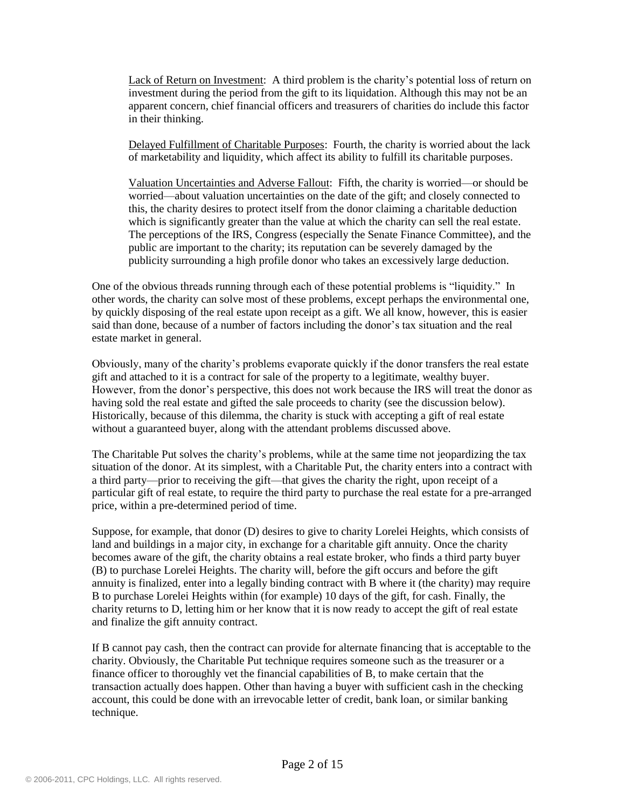Lack of Return on Investment: A third problem is the charity"s potential loss of return on investment during the period from the gift to its liquidation. Although this may not be an apparent concern, chief financial officers and treasurers of charities do include this factor in their thinking.

Delayed Fulfillment of Charitable Purposes: Fourth, the charity is worried about the lack of marketability and liquidity, which affect its ability to fulfill its charitable purposes.

Valuation Uncertainties and Adverse Fallout: Fifth, the charity is worried—or should be worried—about valuation uncertainties on the date of the gift; and closely connected to this, the charity desires to protect itself from the donor claiming a charitable deduction which is significantly greater than the value at which the charity can sell the real estate. The perceptions of the IRS, Congress (especially the Senate Finance Committee), and the public are important to the charity; its reputation can be severely damaged by the publicity surrounding a high profile donor who takes an excessively large deduction.

One of the obvious threads running through each of these potential problems is "liquidity." In other words, the charity can solve most of these problems, except perhaps the environmental one, by quickly disposing of the real estate upon receipt as a gift. We all know, however, this is easier said than done, because of a number of factors including the donor"s tax situation and the real estate market in general.

Obviously, many of the charity"s problems evaporate quickly if the donor transfers the real estate gift and attached to it is a contract for sale of the property to a legitimate, wealthy buyer. However, from the donor"s perspective, this does not work because the IRS will treat the donor as having sold the real estate and gifted the sale proceeds to charity (see the discussion below). Historically, because of this dilemma, the charity is stuck with accepting a gift of real estate without a guaranteed buyer, along with the attendant problems discussed above.

The Charitable Put solves the charity's problems, while at the same time not jeopardizing the tax situation of the donor. At its simplest, with a Charitable Put, the charity enters into a contract with a third party—prior to receiving the gift—that gives the charity the right, upon receipt of a particular gift of real estate, to require the third party to purchase the real estate for a pre-arranged price, within a pre-determined period of time.

Suppose, for example, that donor (D) desires to give to charity Lorelei Heights, which consists of land and buildings in a major city, in exchange for a charitable gift annuity. Once the charity becomes aware of the gift, the charity obtains a real estate broker, who finds a third party buyer (B) to purchase Lorelei Heights. The charity will, before the gift occurs and before the gift annuity is finalized, enter into a legally binding contract with B where it (the charity) may require B to purchase Lorelei Heights within (for example) 10 days of the gift, for cash. Finally, the charity returns to D, letting him or her know that it is now ready to accept the gift of real estate and finalize the gift annuity contract.

If B cannot pay cash, then the contract can provide for alternate financing that is acceptable to the charity. Obviously, the Charitable Put technique requires someone such as the treasurer or a finance officer to thoroughly vet the financial capabilities of B, to make certain that the transaction actually does happen. Other than having a buyer with sufficient cash in the checking account, this could be done with an irrevocable letter of credit, bank loan, or similar banking technique.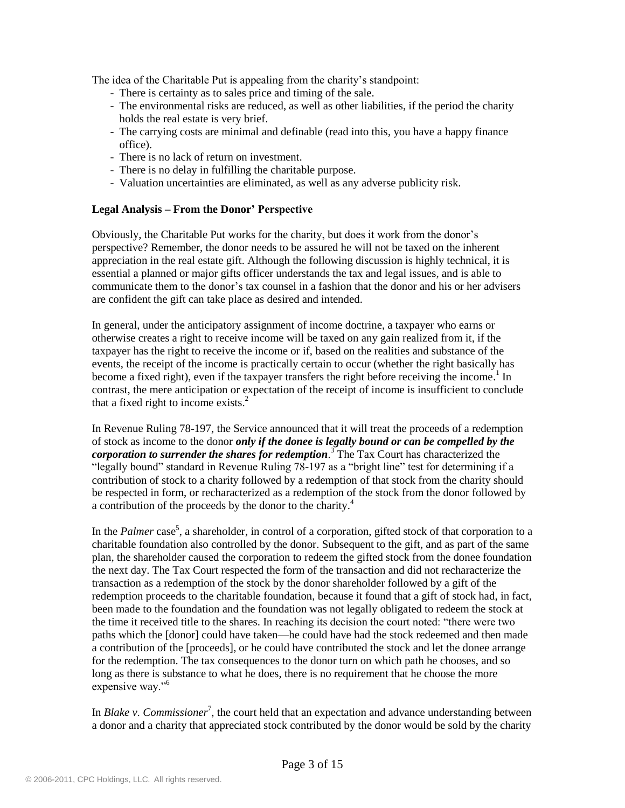The idea of the Charitable Put is appealing from the charity's standpoint:

- There is certainty as to sales price and timing of the sale.
- The environmental risks are reduced, as well as other liabilities, if the period the charity holds the real estate is very brief.
- The carrying costs are minimal and definable (read into this, you have a happy finance office).
- There is no lack of return on investment.
- There is no delay in fulfilling the charitable purpose.
- Valuation uncertainties are eliminated, as well as any adverse publicity risk.

## **Legal Analysis – From the Donor' Perspective**

Obviously, the Charitable Put works for the charity, but does it work from the donor"s perspective? Remember, the donor needs to be assured he will not be taxed on the inherent appreciation in the real estate gift. Although the following discussion is highly technical, it is essential a planned or major gifts officer understands the tax and legal issues, and is able to communicate them to the donor"s tax counsel in a fashion that the donor and his or her advisers are confident the gift can take place as desired and intended.

In general, under the anticipatory assignment of income doctrine, a taxpayer who earns or otherwise creates a right to receive income will be taxed on any gain realized from it, if the taxpayer has the right to receive the income or if, based on the realities and substance of the events, the receipt of the income is practically certain to occur (whether the right basically has become a fixed right), even if the taxpayer transfers the right before receiving the income.<sup>1</sup> In contrast, the mere anticipation or expectation of the receipt of income is insufficient to conclude that a fixed right to income exists. 2

In Revenue Ruling 78-197, the Service announced that it will treat the proceeds of a redemption of stock as income to the donor *only if the donee is legally bound or can be compelled by the corporation to surrender the shares for redemption*. <sup>3</sup> The Tax Court has characterized the "legally bound" standard in Revenue Ruling 78-197 as a "bright line" test for determining if a contribution of stock to a charity followed by a redemption of that stock from the charity should be respected in form, or recharacterized as a redemption of the stock from the donor followed by a contribution of the proceeds by the donor to the charity. 4

In the *Palmer* case<sup>5</sup>, a shareholder, in control of a corporation, gifted stock of that corporation to a charitable foundation also controlled by the donor. Subsequent to the gift, and as part of the same plan, the shareholder caused the corporation to redeem the gifted stock from the donee foundation the next day. The Tax Court respected the form of the transaction and did not recharacterize the transaction as a redemption of the stock by the donor shareholder followed by a gift of the redemption proceeds to the charitable foundation, because it found that a gift of stock had, in fact, been made to the foundation and the foundation was not legally obligated to redeem the stock at the time it received title to the shares. In reaching its decision the court noted: "there were two paths which the [donor] could have taken—he could have had the stock redeemed and then made a contribution of the [proceeds], or he could have contributed the stock and let the donee arrange for the redemption. The tax consequences to the donor turn on which path he chooses, and so long as there is substance to what he does, there is no requirement that he choose the more expensive way."<sup>6</sup>

In *Blake v*. *Commissioner*<sup>7</sup>, the court held that an expectation and advance understanding between a donor and a charity that appreciated stock contributed by the donor would be sold by the charity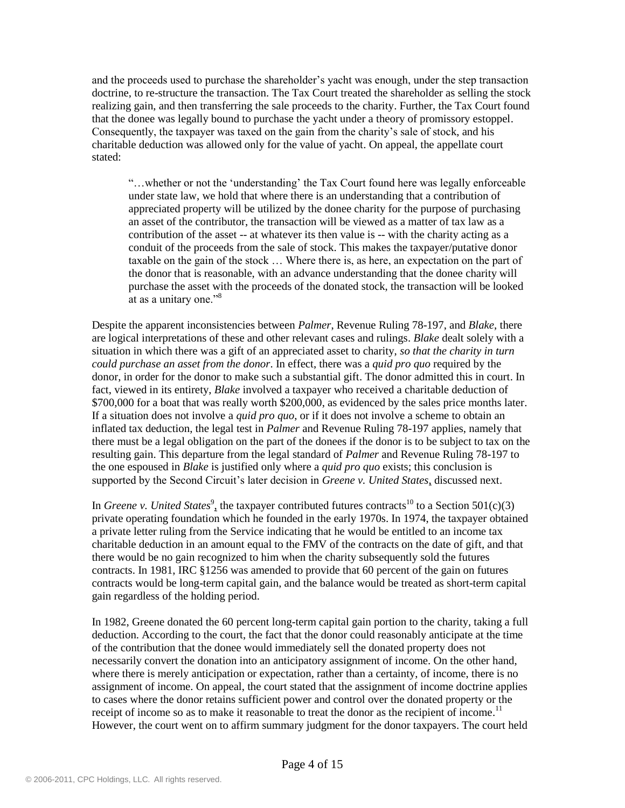and the proceeds used to purchase the shareholder"s yacht was enough, under the step transaction doctrine, to re-structure the transaction. The Tax Court treated the shareholder as selling the stock realizing gain, and then transferring the sale proceeds to the charity. Further, the Tax Court found that the donee was legally bound to purchase the yacht under a theory of promissory estoppel. Consequently, the taxpayer was taxed on the gain from the charity"s sale of stock, and his charitable deduction was allowed only for the value of yacht. On appeal, the appellate court stated:

"…whether or not the "understanding" the Tax Court found here was legally enforceable under state law, we hold that where there is an understanding that a contribution of appreciated property will be utilized by the donee charity for the purpose of purchasing an asset of the contributor, the transaction will be viewed as a matter of tax law as a contribution of the asset -- at whatever its then value is -- with the charity acting as a conduit of the proceeds from the sale of stock. This makes the taxpayer/putative donor taxable on the gain of the stock … Where there is, as here, an expectation on the part of the donor that is reasonable, with an advance understanding that the donee charity will purchase the asset with the proceeds of the donated stock, the transaction will be looked at as a unitary one."<sup>8</sup>

Despite the apparent inconsistencies between *Palmer*, Revenue Ruling 78-197, and *Blake*, there are logical interpretations of these and other relevant cases and rulings. *Blake* dealt solely with a situation in which there was a gift of an appreciated asset to charity, *so that the charity in turn could purchase an asset from the donor*. In effect, there was a *quid pro quo* required by the donor, in order for the donor to make such a substantial gift. The donor admitted this in court. In fact, viewed in its entirety, *Blake* involved a taxpayer who received a charitable deduction of \$700,000 for a boat that was really worth \$200,000, as evidenced by the sales price months later. If a situation does not involve a *quid pro quo*, or if it does not involve a scheme to obtain an inflated tax deduction, the legal test in *Palmer* and Revenue Ruling 78-197 applies, namely that there must be a legal obligation on the part of the donees if the donor is to be subject to tax on the resulting gain. This departure from the legal standard of *Palmer* and Revenue Ruling 78-197 to the one espoused in *Blake* is justified only where a *quid pro quo* exists; this conclusion is supported by the Second Circuit"s later decision in *Greene v. United States*, discussed next.

In *Greene v. United States*<sup>9</sup>, the taxpayer contributed futures contracts<sup>10</sup> to a Section 501(c)(3) private operating foundation which he founded in the early 1970s. In 1974, the taxpayer obtained a private letter ruling from the Service indicating that he would be entitled to an income tax charitable deduction in an amount equal to the FMV of the contracts on the date of gift, and that there would be no gain recognized to him when the charity subsequently sold the futures contracts. In 1981, IRC §1256 was amended to provide that 60 percent of the gain on futures contracts would be long-term capital gain, and the balance would be treated as short-term capital gain regardless of the holding period.

In 1982, Greene donated the 60 percent long-term capital gain portion to the charity, taking a full deduction. According to the court, the fact that the donor could reasonably anticipate at the time of the contribution that the donee would immediately sell the donated property does not necessarily convert the donation into an anticipatory assignment of income. On the other hand, where there is merely anticipation or expectation, rather than a certainty, of income, there is no assignment of income. On appeal, the court stated that the assignment of income doctrine applies to cases where the donor retains sufficient power and control over the donated property or the receipt of income so as to make it reasonable to treat the donor as the recipient of income.<sup>11</sup> However, the court went on to affirm summary judgment for the donor taxpayers. The court held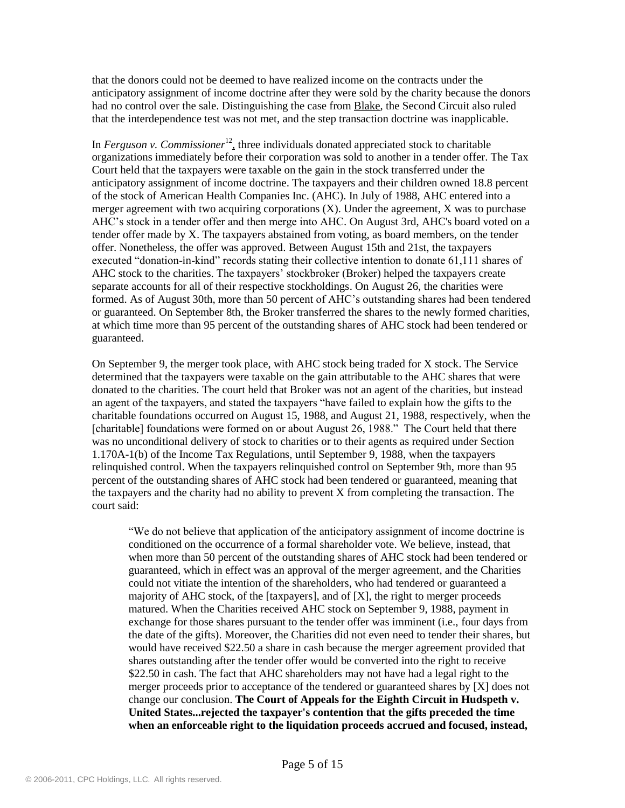that the donors could not be deemed to have realized income on the contracts under the anticipatory assignment of income doctrine after they were sold by the charity because the donors had no control over the sale. Distinguishing the case from Blake, the Second Circuit also ruled that the interdependence test was not met, and the step transaction doctrine was inapplicable.

In *Ferguson v. Commissioner*<sup>12</sup>, three individuals donated appreciated stock to charitable organizations immediately before their corporation was sold to another in a tender offer. The Tax Court held that the taxpayers were taxable on the gain in the stock transferred under the anticipatory assignment of income doctrine. The taxpayers and their children owned 18.8 percent of the stock of American Health Companies Inc. (AHC). In July of 1988, AHC entered into a merger agreement with two acquiring corporations  $(X)$ . Under the agreement, X was to purchase AHC"s stock in a tender offer and then merge into AHC. On August 3rd, AHC's board voted on a tender offer made by X. The taxpayers abstained from voting, as board members, on the tender offer. Nonetheless, the offer was approved. Between August 15th and 21st, the taxpayers executed "donation-in-kind" records stating their collective intention to donate 61,111 shares of AHC stock to the charities. The taxpayers" stockbroker (Broker) helped the taxpayers create separate accounts for all of their respective stockholdings. On August 26, the charities were formed. As of August 30th, more than 50 percent of AHC"s outstanding shares had been tendered or guaranteed. On September 8th, the Broker transferred the shares to the newly formed charities, at which time more than 95 percent of the outstanding shares of AHC stock had been tendered or guaranteed.

On September 9, the merger took place, with AHC stock being traded for X stock. The Service determined that the taxpayers were taxable on the gain attributable to the AHC shares that were donated to the charities. The court held that Broker was not an agent of the charities, but instead an agent of the taxpayers, and stated the taxpayers "have failed to explain how the gifts to the charitable foundations occurred on August 15, 1988, and August 21, 1988, respectively, when the [charitable] foundations were formed on or about August 26, 1988." The Court held that there was no unconditional delivery of stock to charities or to their agents as required under Section 1.170A-1(b) of the Income Tax Regulations, until September 9, 1988, when the taxpayers relinquished control. When the taxpayers relinquished control on September 9th, more than 95 percent of the outstanding shares of AHC stock had been tendered or guaranteed, meaning that the taxpayers and the charity had no ability to prevent X from completing the transaction. The court said:

"We do not believe that application of the anticipatory assignment of income doctrine is conditioned on the occurrence of a formal shareholder vote. We believe, instead, that when more than 50 percent of the outstanding shares of AHC stock had been tendered or guaranteed, which in effect was an approval of the merger agreement, and the Charities could not vitiate the intention of the shareholders, who had tendered or guaranteed a majority of AHC stock, of the [taxpayers], and of [X], the right to merger proceeds matured. When the Charities received AHC stock on September 9, 1988, payment in exchange for those shares pursuant to the tender offer was imminent (i.e., four days from the date of the gifts). Moreover, the Charities did not even need to tender their shares, but would have received \$22.50 a share in cash because the merger agreement provided that shares outstanding after the tender offer would be converted into the right to receive \$22.50 in cash. The fact that AHC shareholders may not have had a legal right to the merger proceeds prior to acceptance of the tendered or guaranteed shares by [X] does not change our conclusion. **The Court of Appeals for the Eighth Circuit in Hudspeth v. United States...rejected the taxpayer's contention that the gifts preceded the time when an enforceable right to the liquidation proceeds accrued and focused, instead,**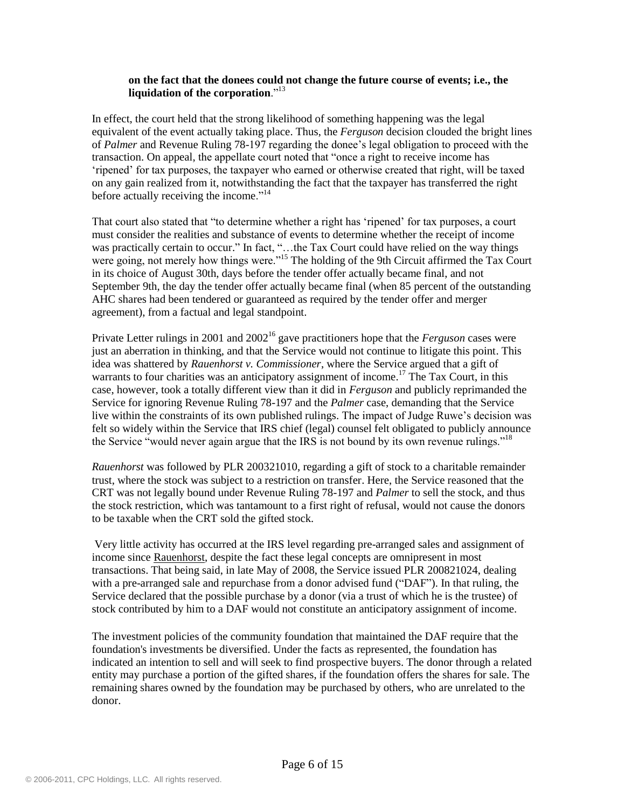#### **on the fact that the donees could not change the future course of events; i.e., the liquidation of the corporation**."<sup>13</sup>

In effect, the court held that the strong likelihood of something happening was the legal equivalent of the event actually taking place. Thus, the *Ferguson* decision clouded the bright lines of *Palmer* and Revenue Ruling 78-197 regarding the donee"s legal obligation to proceed with the transaction. On appeal, the appellate court noted that "once a right to receive income has "ripened" for tax purposes, the taxpayer who earned or otherwise created that right, will be taxed on any gain realized from it, notwithstanding the fact that the taxpayer has transferred the right before actually receiving the income."<sup>14</sup>

That court also stated that "to determine whether a right has "ripened" for tax purposes, a court must consider the realities and substance of events to determine whether the receipt of income was practically certain to occur." In fact, "…the Tax Court could have relied on the way things were going, not merely how things were."<sup>15</sup> The holding of the 9th Circuit affirmed the Tax Court in its choice of August 30th, days before the tender offer actually became final, and not September 9th, the day the tender offer actually became final (when 85 percent of the outstanding AHC shares had been tendered or guaranteed as required by the tender offer and merger agreement), from a factual and legal standpoint.

Private Letter rulings in 2001 and 2002<sup>16</sup> gave practitioners hope that the *Ferguson* cases were just an aberration in thinking, and that the Service would not continue to litigate this point. This idea was shattered by *Rauenhorst v. Commissioner*, where the Service argued that a gift of warrants to four charities was an anticipatory assignment of income.<sup>17</sup> The Tax Court, in this case, however, took a totally different view than it did in *Ferguson* and publicly reprimanded the Service for ignoring Revenue Ruling 78-197 and the *Palmer* case, demanding that the Service live within the constraints of its own published rulings. The impact of Judge Ruwe"s decision was felt so widely within the Service that IRS chief (legal) counsel felt obligated to publicly announce the Service "would never again argue that the IRS is not bound by its own revenue rulings."<sup>18</sup>

*Rauenhorst* was followed by PLR 200321010, regarding a gift of stock to a charitable remainder trust, where the stock was subject to a restriction on transfer. Here, the Service reasoned that the CRT was not legally bound under Revenue Ruling 78-197 and *Palmer* to sell the stock, and thus the stock restriction, which was tantamount to a first right of refusal, would not cause the donors to be taxable when the CRT sold the gifted stock.

Very little activity has occurred at the IRS level regarding pre-arranged sales and assignment of income since Rauenhorst, despite the fact these legal concepts are omnipresent in most transactions. That being said, in late May of 2008, the Service issued PLR 200821024, dealing with a pre-arranged sale and repurchase from a donor advised fund ("DAF"). In that ruling, the Service declared that the possible purchase by a donor (via a trust of which he is the trustee) of stock contributed by him to a DAF would not constitute an anticipatory assignment of income.

The investment policies of the community foundation that maintained the DAF require that the foundation's investments be diversified. Under the facts as represented, the foundation has indicated an intention to sell and will seek to find prospective buyers. The donor through a related entity may purchase a portion of the gifted shares, if the foundation offers the shares for sale. The remaining shares owned by the foundation may be purchased by others, who are unrelated to the donor.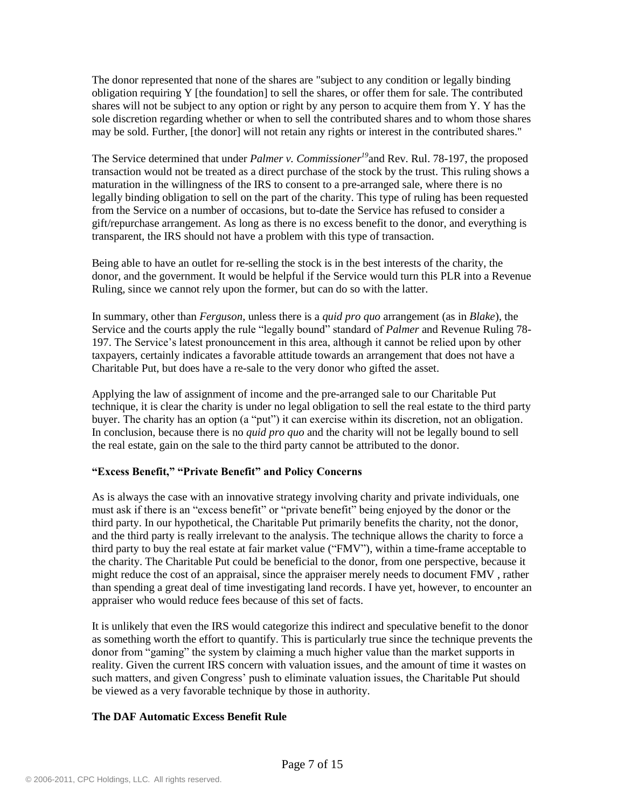The donor represented that none of the shares are "subject to any condition or legally binding obligation requiring Y [the foundation] to sell the shares, or offer them for sale. The contributed shares will not be subject to any option or right by any person to acquire them from Y. Y has the sole discretion regarding whether or when to sell the contributed shares and to whom those shares may be sold. Further, [the donor] will not retain any rights or interest in the contributed shares."

The Service determined that under *Palmer v. Commissioner<sup>19</sup>*and Rev. Rul. 78-197, the proposed transaction would not be treated as a direct purchase of the stock by the trust. This ruling shows a maturation in the willingness of the IRS to consent to a pre-arranged sale, where there is no legally binding obligation to sell on the part of the charity. This type of ruling has been requested from the Service on a number of occasions, but to-date the Service has refused to consider a gift/repurchase arrangement. As long as there is no excess benefit to the donor, and everything is transparent, the IRS should not have a problem with this type of transaction.

Being able to have an outlet for re-selling the stock is in the best interests of the charity, the donor, and the government. It would be helpful if the Service would turn this PLR into a Revenue Ruling, since we cannot rely upon the former, but can do so with the latter.

In summary, other than *Ferguson*, unless there is a *quid pro quo* arrangement (as in *Blake*), the Service and the courts apply the rule "legally bound" standard of *Palmer* and Revenue Ruling 78- 197. The Service"s latest pronouncement in this area, although it cannot be relied upon by other taxpayers, certainly indicates a favorable attitude towards an arrangement that does not have a Charitable Put, but does have a re-sale to the very donor who gifted the asset.

Applying the law of assignment of income and the pre-arranged sale to our Charitable Put technique, it is clear the charity is under no legal obligation to sell the real estate to the third party buyer. The charity has an option (a "put") it can exercise within its discretion, not an obligation. In conclusion, because there is no *quid pro quo* and the charity will not be legally bound to sell the real estate, gain on the sale to the third party cannot be attributed to the donor.

# **"Excess Benefit," "Private Benefit" and Policy Concerns**

As is always the case with an innovative strategy involving charity and private individuals, one must ask if there is an "excess benefit" or "private benefit" being enjoyed by the donor or the third party. In our hypothetical, the Charitable Put primarily benefits the charity, not the donor, and the third party is really irrelevant to the analysis. The technique allows the charity to force a third party to buy the real estate at fair market value ("FMV"), within a time-frame acceptable to the charity. The Charitable Put could be beneficial to the donor, from one perspective, because it might reduce the cost of an appraisal, since the appraiser merely needs to document FMV , rather than spending a great deal of time investigating land records. I have yet, however, to encounter an appraiser who would reduce fees because of this set of facts.

It is unlikely that even the IRS would categorize this indirect and speculative benefit to the donor as something worth the effort to quantify. This is particularly true since the technique prevents the donor from "gaming" the system by claiming a much higher value than the market supports in reality. Given the current IRS concern with valuation issues, and the amount of time it wastes on such matters, and given Congress" push to eliminate valuation issues, the Charitable Put should be viewed as a very favorable technique by those in authority.

### **The DAF Automatic Excess Benefit Rule**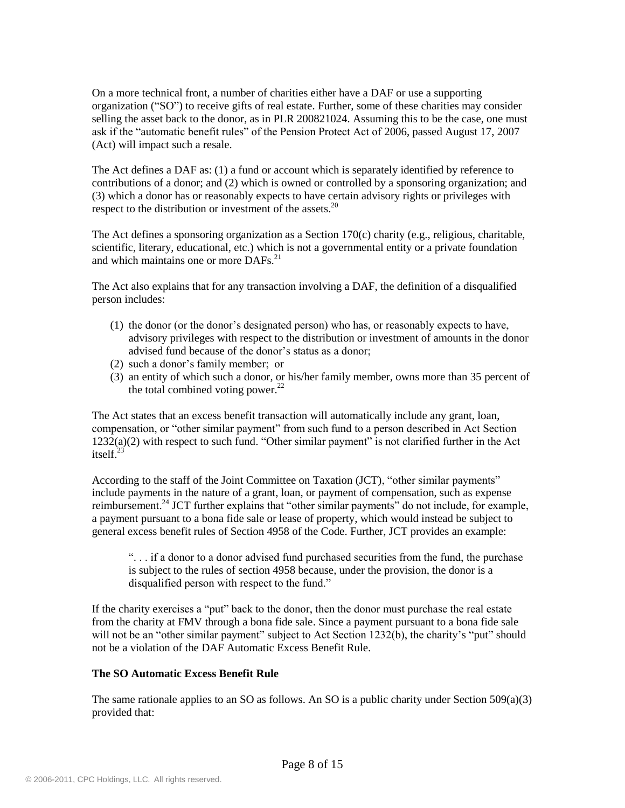On a more technical front, a number of charities either have a DAF or use a supporting organization ("SO") to receive gifts of real estate. Further, some of these charities may consider selling the asset back to the donor, as in PLR 200821024. Assuming this to be the case, one must ask if the "automatic benefit rules" of the Pension Protect Act of 2006, passed August 17, 2007 (Act) will impact such a resale.

The Act defines a DAF as: (1) a fund or account which is separately identified by reference to contributions of a donor; and (2) which is owned or controlled by a sponsoring organization; and (3) which a donor has or reasonably expects to have certain advisory rights or privileges with respect to the distribution or investment of the assets. $^{20}$ 

The Act defines a sponsoring organization as a Section 170(c) charity (e.g., religious, charitable, scientific, literary, educational, etc.) which is not a governmental entity or a private foundation and which maintains one or more DAFs.<sup>21</sup>

The Act also explains that for any transaction involving a DAF, the definition of a disqualified person includes:

- (1) the donor (or the donor"s designated person) who has, or reasonably expects to have, advisory privileges with respect to the distribution or investment of amounts in the donor advised fund because of the donor's status as a donor;
- (2) such a donor"s family member; or
- (3) an entity of which such a donor, or his/her family member, owns more than 35 percent of the total combined voting power. $^{22}$

The Act states that an excess benefit transaction will automatically include any grant, loan, compensation, or "other similar payment" from such fund to a person described in Act Section  $1232(a)(2)$  with respect to such fund. "Other similar payment" is not clarified further in the Act itself. 23

According to the staff of the Joint Committee on Taxation (JCT), "other similar payments" include payments in the nature of a grant, loan, or payment of compensation, such as expense reimbursement.<sup>24</sup> JCT further explains that "other similar payments" do not include, for example, a payment pursuant to a bona fide sale or lease of property, which would instead be subject to general excess benefit rules of Section 4958 of the Code. Further, JCT provides an example:

". . . if a donor to a donor advised fund purchased securities from the fund, the purchase is subject to the rules of section 4958 because, under the provision, the donor is a disqualified person with respect to the fund."

If the charity exercises a "put" back to the donor, then the donor must purchase the real estate from the charity at FMV through a bona fide sale. Since a payment pursuant to a bona fide sale will not be an "other similar payment" subject to Act Section 1232(b), the charity's "put" should not be a violation of the DAF Automatic Excess Benefit Rule.

### **The SO Automatic Excess Benefit Rule**

The same rationale applies to an SO as follows. An SO is a public charity under Section  $509(a)(3)$ provided that: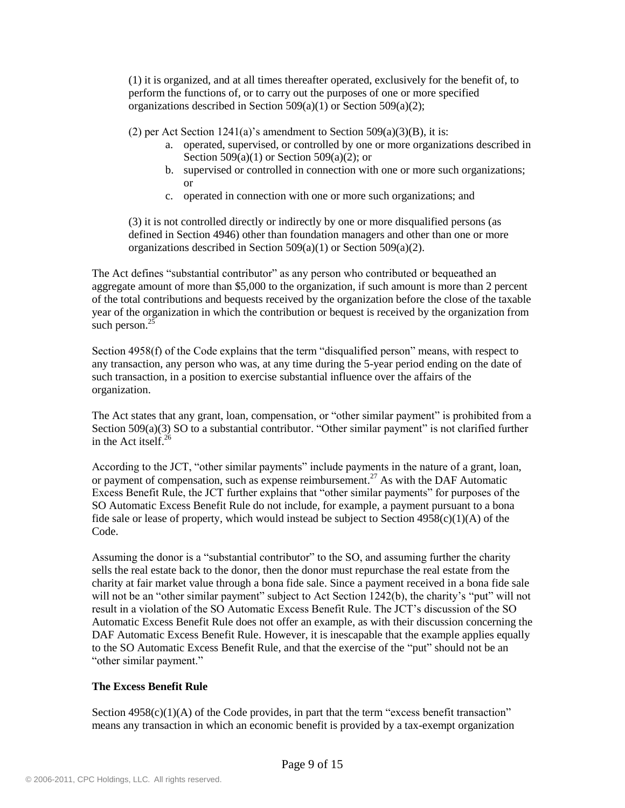(1) it is organized, and at all times thereafter operated, exclusively for the benefit of, to perform the functions of, or to carry out the purposes of one or more specified organizations described in Section 509(a)(1) or Section 509(a)(2);

(2) per Act Section  $1241(a)$ 's amendment to Section  $509(a)(3)(B)$ , it is:

- a. operated, supervised, or controlled by one or more organizations described in Section 509(a)(1) or Section 509(a)(2); or
- b. supervised or controlled in connection with one or more such organizations; or
- c. operated in connection with one or more such organizations; and

(3) it is not controlled directly or indirectly by one or more disqualified persons (as defined in Section 4946) other than foundation managers and other than one or more organizations described in Section 509(a)(1) or Section 509(a)(2).

The Act defines "substantial contributor" as any person who contributed or bequeathed an aggregate amount of more than \$5,000 to the organization, if such amount is more than 2 percent of the total contributions and bequests received by the organization before the close of the taxable year of the organization in which the contribution or bequest is received by the organization from such person. $^{25}$ 

Section 4958(f) of the Code explains that the term "disqualified person" means, with respect to any transaction, any person who was, at any time during the 5-year period ending on the date of such transaction, in a position to exercise substantial influence over the affairs of the organization.

The Act states that any grant, loan, compensation, or "other similar payment" is prohibited from a Section 509(a)(3) SO to a substantial contributor. "Other similar payment" is not clarified further in the Act itself.<sup>26</sup>

According to the JCT, "other similar payments" include payments in the nature of a grant, loan, or payment of compensation, such as expense reimbursement.<sup>27</sup> As with the DAF Automatic Excess Benefit Rule, the JCT further explains that "other similar payments" for purposes of the SO Automatic Excess Benefit Rule do not include, for example, a payment pursuant to a bona fide sale or lease of property, which would instead be subject to Section  $4958(c)(1)(A)$  of the Code.

Assuming the donor is a "substantial contributor" to the SO, and assuming further the charity sells the real estate back to the donor, then the donor must repurchase the real estate from the charity at fair market value through a bona fide sale. Since a payment received in a bona fide sale will not be an "other similar payment" subject to Act Section 1242(b), the charity's "put" will not result in a violation of the SO Automatic Excess Benefit Rule. The JCT"s discussion of the SO Automatic Excess Benefit Rule does not offer an example, as with their discussion concerning the DAF Automatic Excess Benefit Rule. However, it is inescapable that the example applies equally to the SO Automatic Excess Benefit Rule, and that the exercise of the "put" should not be an "other similar payment."

# **The Excess Benefit Rule**

Section  $4958(c)(1)(A)$  of the Code provides, in part that the term "excess benefit transaction" means any transaction in which an economic benefit is provided by a tax-exempt organization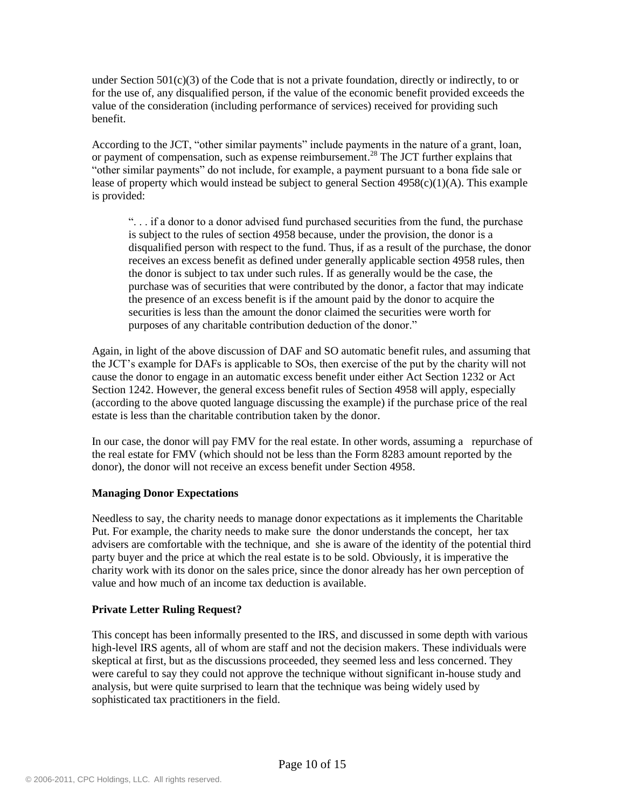under Section  $501(c)(3)$  of the Code that is not a private foundation, directly or indirectly, to or for the use of, any disqualified person, if the value of the economic benefit provided exceeds the value of the consideration (including performance of services) received for providing such benefit.

According to the JCT, "other similar payments" include payments in the nature of a grant, loan, or payment of compensation, such as expense reimbursement.<sup>28</sup> The JCT further explains that "other similar payments" do not include, for example, a payment pursuant to a bona fide sale or lease of property which would instead be subject to general Section  $4958(c)(1)(A)$ . This example is provided:

". . . if a donor to a donor advised fund purchased securities from the fund, the purchase is subject to the rules of section 4958 because, under the provision, the donor is a disqualified person with respect to the fund. Thus, if as a result of the purchase, the donor receives an excess benefit as defined under generally applicable section 4958 rules, then the donor is subject to tax under such rules. If as generally would be the case, the purchase was of securities that were contributed by the donor, a factor that may indicate the presence of an excess benefit is if the amount paid by the donor to acquire the securities is less than the amount the donor claimed the securities were worth for purposes of any charitable contribution deduction of the donor."

Again, in light of the above discussion of DAF and SO automatic benefit rules, and assuming that the JCT"s example for DAFs is applicable to SOs, then exercise of the put by the charity will not cause the donor to engage in an automatic excess benefit under either Act Section 1232 or Act Section 1242. However, the general excess benefit rules of Section 4958 will apply, especially (according to the above quoted language discussing the example) if the purchase price of the real estate is less than the charitable contribution taken by the donor.

In our case, the donor will pay FMV for the real estate. In other words, assuming a repurchase of the real estate for FMV (which should not be less than the Form 8283 amount reported by the donor), the donor will not receive an excess benefit under Section 4958.

### **Managing Donor Expectations**

Needless to say, the charity needs to manage donor expectations as it implements the Charitable Put. For example, the charity needs to make sure the donor understands the concept, her tax advisers are comfortable with the technique, and she is aware of the identity of the potential third party buyer and the price at which the real estate is to be sold. Obviously, it is imperative the charity work with its donor on the sales price, since the donor already has her own perception of value and how much of an income tax deduction is available.

# **Private Letter Ruling Request?**

This concept has been informally presented to the IRS, and discussed in some depth with various high-level IRS agents, all of whom are staff and not the decision makers. These individuals were skeptical at first, but as the discussions proceeded, they seemed less and less concerned. They were careful to say they could not approve the technique without significant in-house study and analysis, but were quite surprised to learn that the technique was being widely used by sophisticated tax practitioners in the field.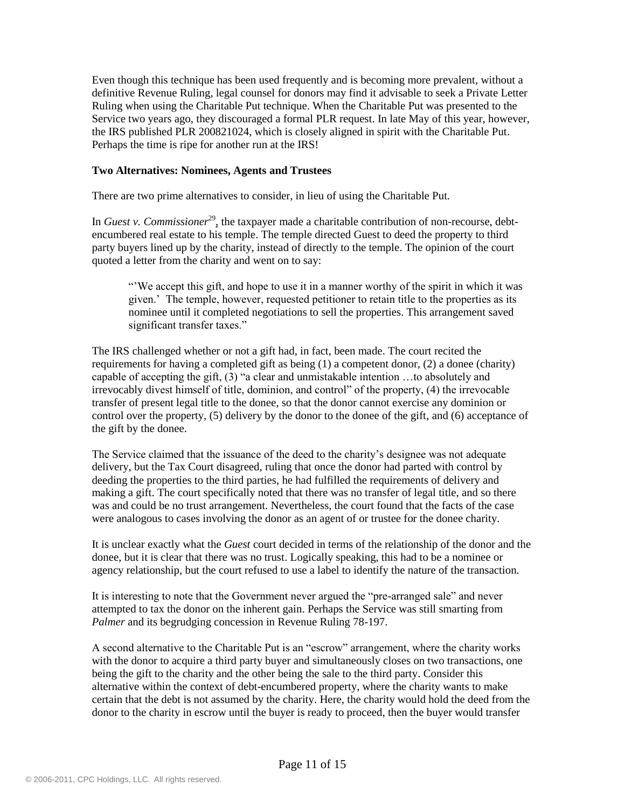Even though this technique has been used frequently and is becoming more prevalent, without a definitive Revenue Ruling, legal counsel for donors may find it advisable to seek a Private Letter Ruling when using the Charitable Put technique. When the Charitable Put was presented to the Service two years ago, they discouraged a formal PLR request. In late May of this year, however, the IRS published PLR 200821024, which is closely aligned in spirit with the Charitable Put. Perhaps the time is ripe for another run at the IRS!

#### **Two Alternatives: Nominees, Agents and Trustees**

There are two prime alternatives to consider, in lieu of using the Charitable Put.

In *Guest v. Commissioner*<sup>29</sup>, the taxpayer made a charitable contribution of non-recourse, debtencumbered real estate to his temple. The temple directed Guest to deed the property to third party buyers lined up by the charity, instead of directly to the temple. The opinion of the court quoted a letter from the charity and went on to say:

""We accept this gift, and hope to use it in a manner worthy of the spirit in which it was given." The temple, however, requested petitioner to retain title to the properties as its nominee until it completed negotiations to sell the properties. This arrangement saved significant transfer taxes."

The IRS challenged whether or not a gift had, in fact, been made. The court recited the requirements for having a completed gift as being (1) a competent donor, (2) a donee (charity) capable of accepting the gift, (3) "a clear and unmistakable intention …to absolutely and irrevocably divest himself of title, dominion, and control" of the property, (4) the irrevocable transfer of present legal title to the donee, so that the donor cannot exercise any dominion or control over the property, (5) delivery by the donor to the donee of the gift, and (6) acceptance of the gift by the donee.

The Service claimed that the issuance of the deed to the charity"s designee was not adequate delivery, but the Tax Court disagreed, ruling that once the donor had parted with control by deeding the properties to the third parties, he had fulfilled the requirements of delivery and making a gift. The court specifically noted that there was no transfer of legal title, and so there was and could be no trust arrangement. Nevertheless, the court found that the facts of the case were analogous to cases involving the donor as an agent of or trustee for the donee charity.

It is unclear exactly what the *Guest* court decided in terms of the relationship of the donor and the donee, but it is clear that there was no trust. Logically speaking, this had to be a nominee or agency relationship, but the court refused to use a label to identify the nature of the transaction.

It is interesting to note that the Government never argued the "pre-arranged sale" and never attempted to tax the donor on the inherent gain. Perhaps the Service was still smarting from *Palmer* and its begrudging concession in Revenue Ruling 78-197.

A second alternative to the Charitable Put is an "escrow" arrangement, where the charity works with the donor to acquire a third party buyer and simultaneously closes on two transactions, one being the gift to the charity and the other being the sale to the third party. Consider this alternative within the context of debt-encumbered property, where the charity wants to make certain that the debt is not assumed by the charity. Here, the charity would hold the deed from the donor to the charity in escrow until the buyer is ready to proceed, then the buyer would transfer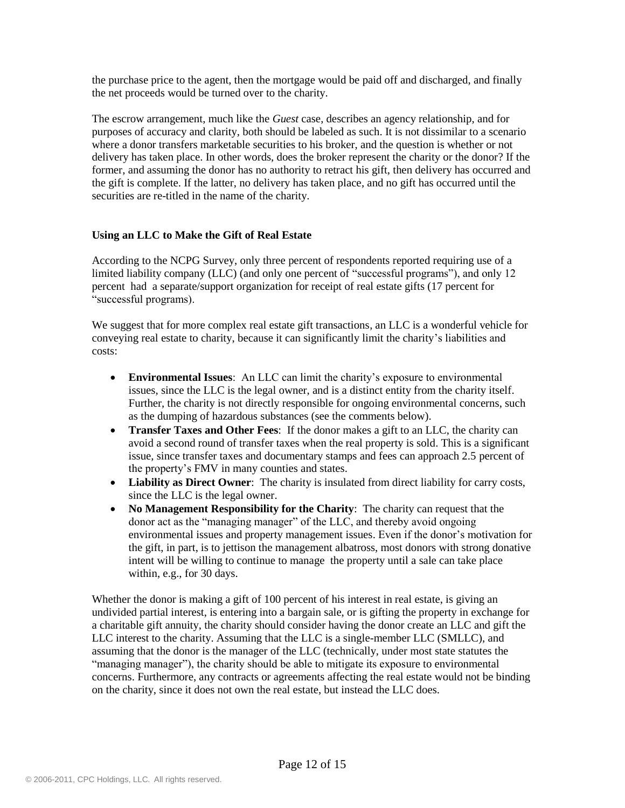the purchase price to the agent, then the mortgage would be paid off and discharged, and finally the net proceeds would be turned over to the charity.

The escrow arrangement, much like the *Guest* case, describes an agency relationship, and for purposes of accuracy and clarity, both should be labeled as such. It is not dissimilar to a scenario where a donor transfers marketable securities to his broker, and the question is whether or not delivery has taken place. In other words, does the broker represent the charity or the donor? If the former, and assuming the donor has no authority to retract his gift, then delivery has occurred and the gift is complete. If the latter, no delivery has taken place, and no gift has occurred until the securities are re-titled in the name of the charity.

## **Using an LLC to Make the Gift of Real Estate**

According to the NCPG Survey, only three percent of respondents reported requiring use of a limited liability company (LLC) (and only one percent of "successful programs"), and only 12 percent had a separate/support organization for receipt of real estate gifts (17 percent for "successful programs).

We suggest that for more complex real estate gift transactions, an LLC is a wonderful vehicle for conveying real estate to charity, because it can significantly limit the charity"s liabilities and costs:

- **Environmental Issues**: An LLC can limit the charity"s exposure to environmental issues, since the LLC is the legal owner, and is a distinct entity from the charity itself. Further, the charity is not directly responsible for ongoing environmental concerns, such as the dumping of hazardous substances (see the comments below).
- **Transfer Taxes and Other Fees**: If the donor makes a gift to an LLC, the charity can avoid a second round of transfer taxes when the real property is sold. This is a significant issue, since transfer taxes and documentary stamps and fees can approach 2.5 percent of the property"s FMV in many counties and states.
- **Liability as Direct Owner**: The charity is insulated from direct liability for carry costs, since the LLC is the legal owner.
- **No Management Responsibility for the Charity**: The charity can request that the donor act as the "managing manager" of the LLC, and thereby avoid ongoing environmental issues and property management issues. Even if the donor's motivation for the gift, in part, is to jettison the management albatross, most donors with strong donative intent will be willing to continue to manage the property until a sale can take place within, e.g., for 30 days.

Whether the donor is making a gift of 100 percent of his interest in real estate, is giving an undivided partial interest, is entering into a bargain sale, or is gifting the property in exchange for a charitable gift annuity, the charity should consider having the donor create an LLC and gift the LLC interest to the charity. Assuming that the LLC is a single-member LLC (SMLLC), and assuming that the donor is the manager of the LLC (technically, under most state statutes the "managing manager"), the charity should be able to mitigate its exposure to environmental concerns. Furthermore, any contracts or agreements affecting the real estate would not be binding on the charity, since it does not own the real estate, but instead the LLC does.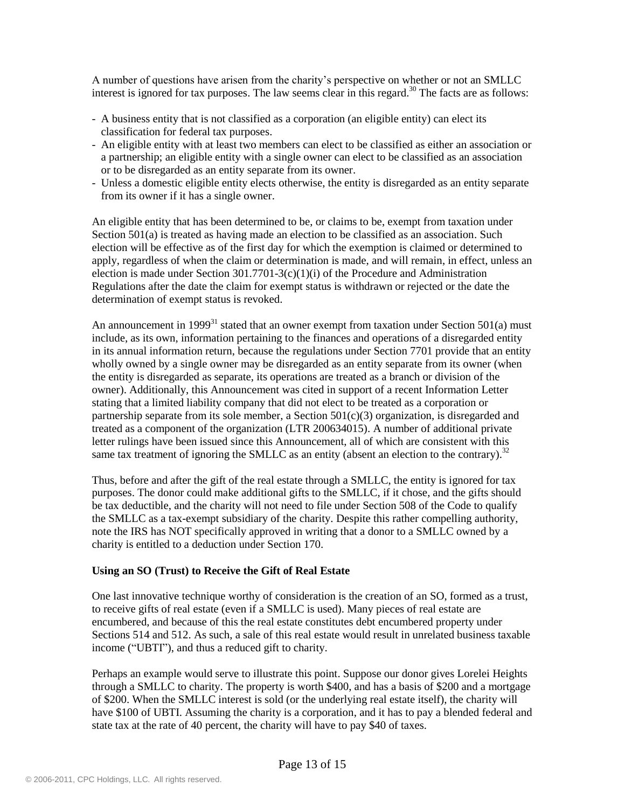A number of questions have arisen from the charity"s perspective on whether or not an SMLLC interest is ignored for tax purposes. The law seems clear in this regard.<sup>30</sup> The facts are as follows:

- A business entity that is not classified as a corporation (an eligible entity) can elect its classification for federal tax purposes.
- An eligible entity with at least two members can elect to be classified as either an association or a partnership; an eligible entity with a single owner can elect to be classified as an association or to be disregarded as an entity separate from its owner.
- Unless a domestic eligible entity elects otherwise, the entity is disregarded as an entity separate from its owner if it has a single owner.

An eligible entity that has been determined to be, or claims to be, exempt from taxation under Section 501(a) is treated as having made an election to be classified as an association. Such election will be effective as of the first day for which the exemption is claimed or determined to apply, regardless of when the claim or determination is made, and will remain, in effect, unless an election is made under Section  $301.7701-3(c)(1)(i)$  of the Procedure and Administration Regulations after the date the claim for exempt status is withdrawn or rejected or the date the determination of exempt status is revoked.

An announcement in 1999<sup>31</sup> stated that an owner exempt from taxation under Section 501(a) must include, as its own, information pertaining to the finances and operations of a disregarded entity in its annual information return, because the regulations under Section 7701 provide that an entity wholly owned by a single owner may be disregarded as an entity separate from its owner (when the entity is disregarded as separate, its operations are treated as a branch or division of the owner). Additionally, this Announcement was cited in support of a recent Information Letter stating that a limited liability company that did not elect to be treated as a corporation or partnership separate from its sole member, a Section 501(c)(3) organization, is disregarded and treated as a component of the organization (LTR 200634015). A number of additional private letter rulings have been issued since this Announcement, all of which are consistent with this same tax treatment of ignoring the SMLLC as an entity (absent an election to the contrary).<sup>32</sup>

Thus, before and after the gift of the real estate through a SMLLC, the entity is ignored for tax purposes. The donor could make additional gifts to the SMLLC, if it chose, and the gifts should be tax deductible, and the charity will not need to file under Section 508 of the Code to qualify the SMLLC as a tax-exempt subsidiary of the charity. Despite this rather compelling authority, note the IRS has NOT specifically approved in writing that a donor to a SMLLC owned by a charity is entitled to a deduction under Section 170.

### **Using an SO (Trust) to Receive the Gift of Real Estate**

One last innovative technique worthy of consideration is the creation of an SO, formed as a trust, to receive gifts of real estate (even if a SMLLC is used). Many pieces of real estate are encumbered, and because of this the real estate constitutes debt encumbered property under Sections 514 and 512. As such, a sale of this real estate would result in unrelated business taxable income ("UBTI"), and thus a reduced gift to charity.

Perhaps an example would serve to illustrate this point. Suppose our donor gives Lorelei Heights through a SMLLC to charity. The property is worth \$400, and has a basis of \$200 and a mortgage of \$200. When the SMLLC interest is sold (or the underlying real estate itself), the charity will have \$100 of UBTI. Assuming the charity is a corporation, and it has to pay a blended federal and state tax at the rate of 40 percent, the charity will have to pay \$40 of taxes.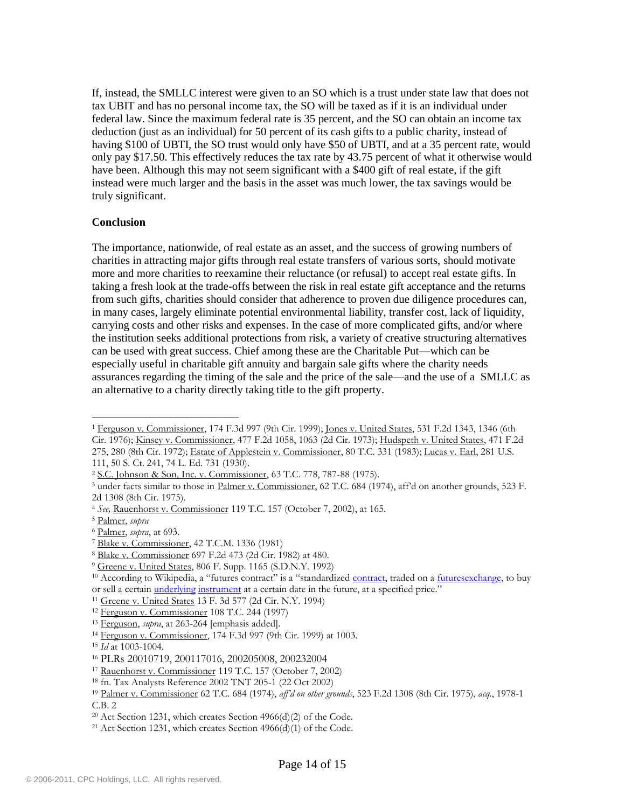If, instead, the SMLLC interest were given to an SO which is a trust under state law that does not tax UBIT and has no personal income tax, the SO will be taxed as if it is an individual under federal law. Since the maximum federal rate is 35 percent, and the SO can obtain an income tax deduction (just as an individual) for 50 percent of its cash gifts to a public charity, instead of having \$100 of UBTI, the SO trust would only have \$50 of UBTI, and at a 35 percent rate, would only pay \$17.50. This effectively reduces the tax rate by 43.75 percent of what it otherwise would have been. Although this may not seem significant with a \$400 gift of real estate, if the gift instead were much larger and the basis in the asset was much lower, the tax savings would be truly significant.

### **Conclusion**

The importance, nationwide, of real estate as an asset, and the success of growing numbers of charities in attracting major gifts through real estate transfers of various sorts, should motivate more and more charities to reexamine their reluctance (or refusal) to accept real estate gifts. In taking a fresh look at the trade-offs between the risk in real estate gift acceptance and the returns from such gifts, charities should consider that adherence to proven due diligence procedures can, in many cases, largely eliminate potential environmental liability, transfer cost, lack of liquidity, carrying costs and other risks and expenses. In the case of more complicated gifts, and/or where the institution seeks additional protections from risk, a variety of creative structuring alternatives can be used with great success. Chief among these are the Charitable Put—which can be especially useful in charitable gift annuity and bargain sale gifts where the charity needs assurances regarding the timing of the sale and the price of the sale—and the use of a SMLLC as an alternative to a charity directly taking title to the gift property.

 $\overline{a}$ <sup>1</sup> Ferguson v. Commissioner, 174 F.3d 997 (9th Cir. 1999); Jones v. United States, 531 F.2d 1343, 1346 (6th Cir. 1976); Kinsey v. Commissioner, 477 F.2d 1058, 1063 (2d Cir. 1973); Hudspeth v. United States, 471 F.2d 275, 280 (8th Cir. 1972); Estate of Applestein v. Commissioner, 80 T.C. 331 (1983); Lucas v. Earl, 281 U.S. 111, 50 S. Ct. 241, 74 L. Ed. 731 (1930).

<sup>2</sup> S.C. Johnson & Son, Inc. v. Commissioner, 63 T.C. 778, 787-88 (1975).

<sup>&</sup>lt;sup>3</sup> under facts similar to those in Palmer v. Commissioner, 62 T.C. 684 (1974), aff'd on another grounds, 523 F. 2d 1308 (8th Cir. 1975).

<sup>4</sup> *See,* Rauenhorst v. Commissioner 119 T.C. 157 (October 7, 2002), at 165.

<sup>5</sup> Palmer, *supra*

<sup>6</sup> Palmer, *supra*, at 693.

<sup>7</sup> Blake v. Commissioner, 42 T.C.M. 1336 (1981)

<sup>8</sup> Blake v. Commissioner 697 F.2d 473 (2d Cir. 1982) at 480.

<sup>9</sup> Greene v. United States, 806 F. Supp. 1165 (S.D.N.Y. 1992)

<sup>&</sup>lt;sup>10</sup> According to Wikipedia, a "futures contract" is a "standardized [contract,](http://en.wikipedia.org/wiki/Contract) traded on a [futuresexchange,](http://en.wikipedia.org/wiki/Futures_exchange) to buy or sell a certain *underlying [instrument](http://en.wikipedia.org/wiki/Financial_instrument)* at a certain date in the future, at a specified price."

<sup>11</sup> Greene v. United States 13 F. 3d 577 (2d Cir. N.Y. 1994)

<sup>12</sup> Ferguson v. Commissioner 108 T.C. 244 (1997)

<sup>13</sup> Ferguson, *supra*, at 263-264 [emphasis added].

<sup>14</sup> Ferguson v. Commissioner, 174 F.3d 997 (9th Cir. 1999) at 1003.

<sup>15</sup> *Id* at 1003-1004.

<sup>16</sup> PLRs 20010719, 200117016, 200205008, 200232004

<sup>17</sup> Rauenhorst v. Commissioner 119 T.C. 157 (October 7, 2002)

<sup>18</sup> fn. Tax Analysts Reference 2002 TNT 205-1 (22 Oct 2002)

<sup>19</sup> Palmer v. Commissioner 62 T.C. 684 (1974), *aff'd on other grounds*, 523 F.2d 1308 (8th Cir. 1975), *acq.*, 1978-1 C.B. 2

 $20$  Act Section 1231, which creates Section 4966(d)(2) of the Code.

<sup>&</sup>lt;sup>21</sup> Act Section 1231, which creates Section  $4966(d)(1)$  of the Code.